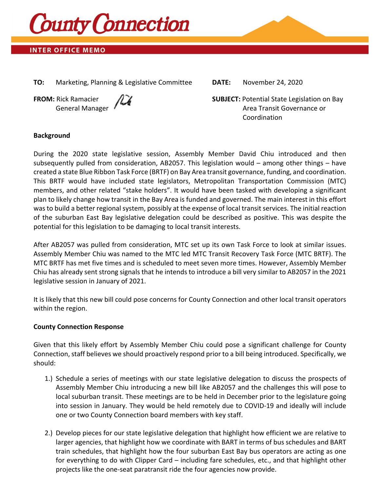

# **INTER OFFICE MEMO**

**TO:** Marketing, Planning & Legislative Committee **DATE:** November 24, 2020



**FROM:** Rick Ramacier  $\sqrt{2}$  **SUBJECT:** Potential State Legislation on Bay General Manager Area Transit Governance or Coordination

#### **Background**

During the 2020 state legislative session, Assembly Member David Chiu introduced and then subsequently pulled from consideration, AB2057. This legislation would – among other things – have created a state Blue Ribbon Task Force (BRTF) on Bay Area transit governance, funding, and coordination. This BRTF would have included state legislators, Metropolitan Transportation Commission (MTC) members, and other related "stake holders". It would have been tasked with developing a significant plan to likely change how transit in the Bay Area is funded and governed. The main interest in this effort was to build a better regional system, possibly at the expense of local transit services. The initial reaction of the suburban East Bay legislative delegation could be described as positive. This was despite the potential for this legislation to be damaging to local transit interests.

After AB2057 was pulled from consideration, MTC set up its own Task Force to look at similar issues. Assembly Member Chiu was named to the MTC led MTC Transit Recovery Task Force (MTC BRTF). The MTC BRTF has met five times and is scheduled to meet seven more times. However, Assembly Member Chiu has already sent strong signals that he intends to introduce a bill very similar to AB2057 in the 2021 legislative session in January of 2021.

It is likely that this new bill could pose concerns for County Connection and other local transit operators within the region.

### **County Connection Response**

Given that this likely effort by Assembly Member Chiu could pose a significant challenge for County Connection, staff believes we should proactively respond prior to a bill being introduced. Specifically, we should:

- 1.) Schedule a series of meetings with our state legislative delegation to discuss the prospects of Assembly Member Chiu introducing a new bill like AB2057 and the challenges this will pose to local suburban transit. These meetings are to be held in December prior to the legislature going into session in January. They would be held remotely due to COVID-19 and ideally will include one or two County Connection board members with key staff.
- 2.) Develop pieces for our state legislative delegation that highlight how efficient we are relative to larger agencies, that highlight how we coordinate with BART in terms of bus schedules and BART train schedules, that highlight how the four suburban East Bay bus operators are acting as one for everything to do with Clipper Card – including fare schedules, etc., and that highlight other projects like the one-seat paratransit ride the four agencies now provide.